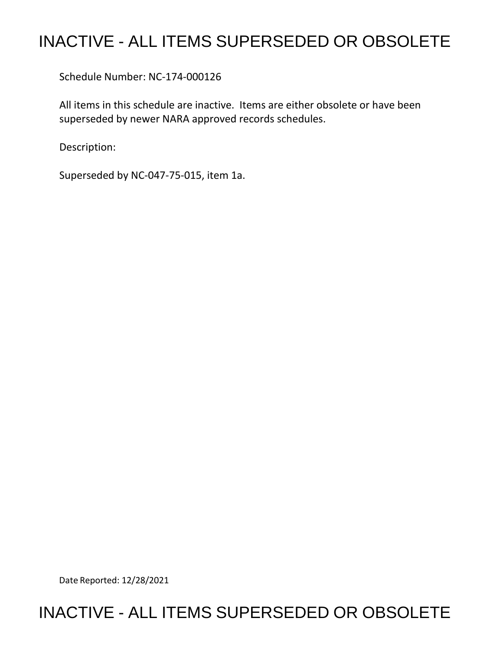## INACTIVE - ALL ITEMS SUPERSEDED OR OBSOLETE

Schedule Number: NC-174-000126

 All items in this schedule are inactive. Items are either obsolete or have been superseded by newer NARA approved records schedules.

Description:

Superseded by NC-047-75-015, item 1a.

Date Reported: 12/28/2021

## INACTIVE - ALL ITEMS SUPERSEDED OR OBSOLETE